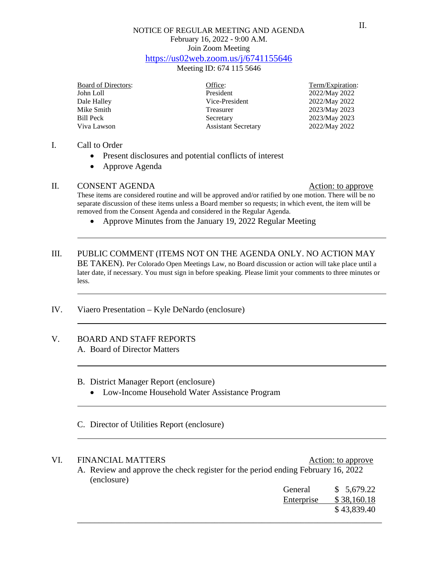## NOTICE OF REGULAR MEETING AND AGENDA February 16, 2022 - 9:00 A.M. Join Zoom Meeting <https://us02web.zoom.us/j/6741155646>

Meeting ID: 674 115 5646

Board of Directors: Changes of Contractors: Changes of Directors: Term/Expiration:

John Loll **2022/May 2022**<br>
Dale Halley **2022/May 2022**<br>
Vice-President 2022/May 2022 Mike Smith Treasurer 2023/May 2023 Bill Peck Secretary 2023/May 2023<br>Viva Lawson Assistant Secretary 2022/May 2022 Assistant Secretary

2022/May 2022

## I. Call to Order

- Present disclosures and potential conflicts of interest
- Approve Agenda

## II. CONSENT AGENDA Action: to approve

These items are considered routine and will be approved and/or ratified by one motion. There will be no separate discussion of these items unless a Board member so requests; in which event, the item will be removed from the Consent Agenda and considered in the Regular Agenda.

• Approve Minutes from the January 19, 2022 Regular Meeting

# III. PUBLIC COMMENT (ITEMS NOT ON THE AGENDA ONLY. NO ACTION MAY BE TAKEN). Per Colorado Open Meetings Law, no Board discussion or action will take place until a later date, if necessary. You must sign in before speaking. Please limit your comments to three minutes or less.

IV. Viaero Presentation – Kyle DeNardo (enclosure)

#### V. BOARD AND STAFF REPORTS A. Board of Director Matters

#### B. District Manager Report (enclosure)

• Low-Income Household Water Assistance Program

# C. Director of Utilities Report (enclosure)

# VI. FINANCIAL MATTERS Action: to approve

A. Review and approve the check register for the period ending February 16, 2022 (enclosure)

| General    | \$5,679.22  |
|------------|-------------|
| Enterprise | \$38,160.18 |
|            | \$43,839.40 |
|            |             |